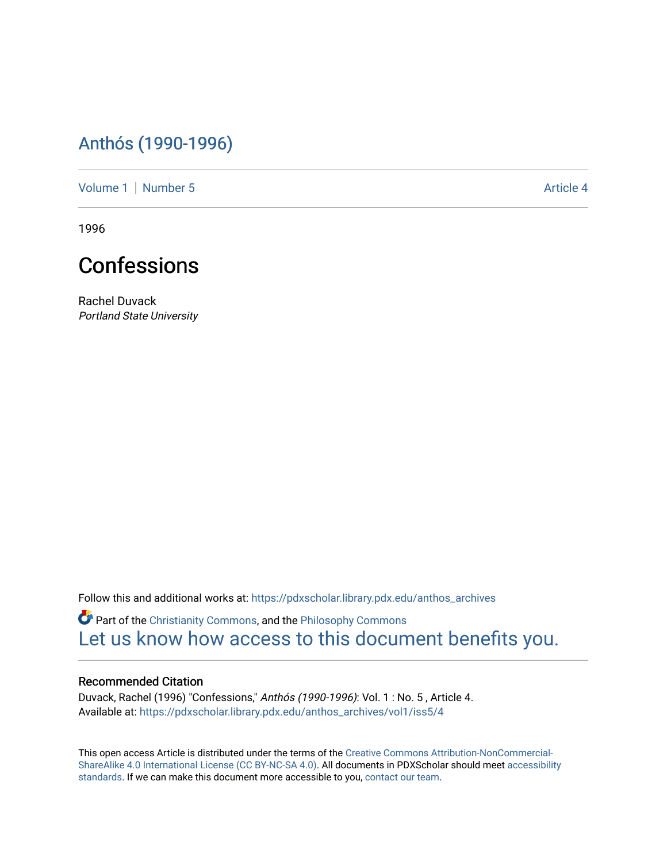## [Anthós \(1990-1996\)](https://pdxscholar.library.pdx.edu/anthos_archives)

[Volume 1](https://pdxscholar.library.pdx.edu/anthos_archives/vol1) | [Number 5](https://pdxscholar.library.pdx.edu/anthos_archives/vol1/iss5) Article 4

1996



Rachel Duvack Portland State University

Follow this and additional works at: [https://pdxscholar.library.pdx.edu/anthos\\_archives](https://pdxscholar.library.pdx.edu/anthos_archives?utm_source=pdxscholar.library.pdx.edu%2Fanthos_archives%2Fvol1%2Fiss5%2F4&utm_medium=PDF&utm_campaign=PDFCoverPages)

Part of the [Christianity Commons,](http://network.bepress.com/hgg/discipline/1181?utm_source=pdxscholar.library.pdx.edu%2Fanthos_archives%2Fvol1%2Fiss5%2F4&utm_medium=PDF&utm_campaign=PDFCoverPages) and the [Philosophy Commons](http://network.bepress.com/hgg/discipline/525?utm_source=pdxscholar.library.pdx.edu%2Fanthos_archives%2Fvol1%2Fiss5%2F4&utm_medium=PDF&utm_campaign=PDFCoverPages)  [Let us know how access to this document benefits you.](http://library.pdx.edu/services/pdxscholar-services/pdxscholar-feedback/) 

## Recommended Citation

Duvack, Rachel (1996) "Confessions," Anthós (1990-1996): Vol. 1 : No. 5 , Article 4. Available at: [https://pdxscholar.library.pdx.edu/anthos\\_archives/vol1/iss5/4](https://pdxscholar.library.pdx.edu/anthos_archives/vol1/iss5/4?utm_source=pdxscholar.library.pdx.edu%2Fanthos_archives%2Fvol1%2Fiss5%2F4&utm_medium=PDF&utm_campaign=PDFCoverPages) 

This open access Article is distributed under the terms of the [Creative Commons Attribution-NonCommercial-](https://creativecommons.org/licenses/by-nc-sa/4.0/)[ShareAlike 4.0 International License \(CC BY-NC-SA 4.0\).](https://creativecommons.org/licenses/by-nc-sa/4.0/) All documents in PDXScholar should meet [accessibility](https://pdxscholar.library.pdx.edu/accessibility.html) [standards](https://pdxscholar.library.pdx.edu/accessibility.html). If we can make this document more accessible to you, [contact our team.](mailto:pdxscholar@pdx.edu)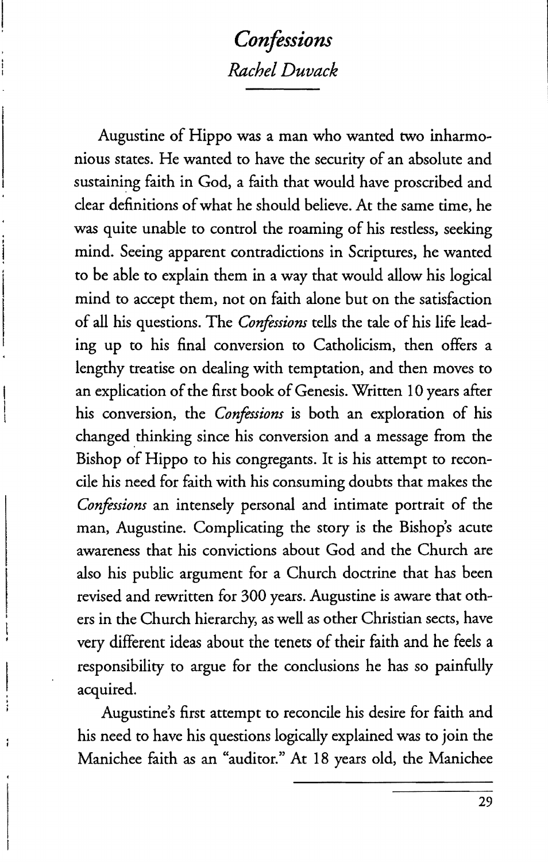## *Confessions Rachel Duvack*

Augustine of Hippo was a man who wanted two inharmonious states. He wanted to have the security of an absolute and sustaining faith in God, a faith that would have proscribed and clear definitions of what he should believe. At the same time, he was quite unable to control the roaming of his restless, seeking mind. Seeing apparent contradictions in Scriptures, he wanted to be able to explain them in a way that would allow his logical mind to accept them, not on faith alone but on the satisfaction of all his questions. The *Confessiom* tells the tale of his life leading up to his final conversion to Catholicism, then offers a lengthy treatise on dealing with temptation, and then moves to an explication of the first book of Genesis. Written 10 years after his conversion, the *Confessions* is both an exploration of his changed thinking since his conversion and a message from the Bishop of Hippo to his congregants. It is his attempt to reconcile his need for faith with his consuming doubts that makes the *Confessions* an intensely personal and intimate portrait of the man, Augustine. Complicating the story is the Bishop's acute awareness that his convictions about God and the Church are also his public argument for a Church doctrine that has been revised and rewritten for 300 years. Augustine is aware that others in the Church hierarchy, as well as other Christian sects, have very different ideas about the tenets of their faith and he feels a responsibility to argue for the conclusions he has so painfully acquired.

Augustine's first attempt to reconcile his desire for faith and his need to have his questions logically explained was to join the Manichee faith as an "auditor." At 18 years old, the Manichee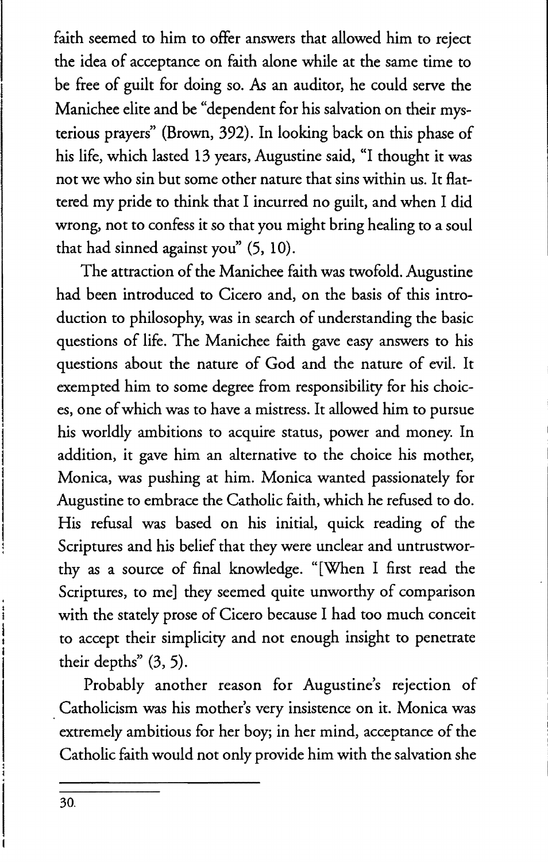faith seemed to him to offer answers that allowed him to reject the idea of acceptance on faith alone while at the same time to be free of guilt for doing so. As an auditor, he could serve the Manichee elite and be "dependent for his salvation on their mysterious prayers" (Brown, 392). In looking back on this phase of his life, which lasted 13 years, Augustine said, "1 thought it was not we who sin but some other nature that sins within us. It flattered my pride to think that I incurred no guilt, and when I did wrong, not to confess it so that you might bring healing to a soul that had sinned against you" (5, 10).

The attraction of the Manichee faith was twofold. Augustine had been introduced to Cicero and, on the basis of this introduction to philosophy, was in search of understanding the basic questions of life. The Manichee faith gave easy answers to his questions about the nature of God and the nature of evil. It exempted him to some degree from responsibility for his choices, one of which was to have a mistress. It allowed him to pursue his worldly ambitions to acquire status, power and money. In addition, it gave him an alternative to the choice his mother, Monica, was pushing at him. Monica wanted passionately for Augustine to embrace the Catholic faith, which he refused to do. His refusal was based on his initial, quick reading of the Scriptures and his belief that they were unclear and untrustworthy as a source of final knowledge. "[When 1 first read the Scriptures, to me] they seemed quite unworthy of comparison with the stately prose of Cicero because I had too much conceit to accept their simplicity and not enough insight to penetrate their depths" (3, 5).

Probably another reason for Augustine's rejection of Catholicism was his mother's very insistence on it. Monica was extremely ambitious for her boy; in her mind, acceptance of the Catholic faith would not only provide him with the salvation she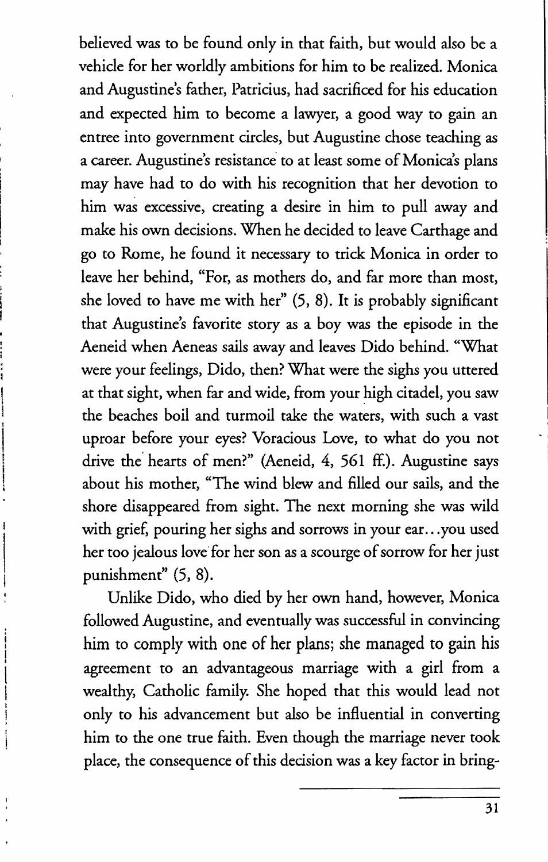believed was to be found only in that faith, but would also be a vehicle for her worldly ambitions for him to be realized. Monica and Augustine's father, Patricius, had sacrificed for his education and expected him to become a lawyer, a good way to gain an entree into government circles, but Augustine chose teaching as a career. Augustine's resistance to at least some of Monica's plans may have had to do with his recognition that her devotion to him was excessive, creating a desire in him to pull away and make his own decisions. When he decided to leave Carthage and go to Rome, he found it necessary to trick Monica in order to leave her behind, "For, as mothers do, and far more than most, she loved to have me with her" (5, 8), It is probably significant that Augustine's favorite story as a boy was the episode in the Aeneid when Aeneas sails away and leaves Dido behind. "What were your feelings, Dido, then? What were the sighs you uttered at that sight, when far and wide, from your high citadel, you saw the beaches boil and turmoil take the waters, with such a vast uproar before your eyes? Voracious Love, to what do you not drive the hearts of men?" (Aeneid, 4, 561 ff.). Augustine says about his mother, "The wind blew and filled our sails, and the shore disappeared from sight. The next morning she was wild with grief, pouring her sighs and sorrows in your ear...you used her too jealous love' for her son as a scourge of sorrow for her just punishment" (5, 8).

Unlike Dido, who died by her own hand, however, Monica followed Augustine, and eventually was successful in convincing him to comply with one of her plans; she managed to gain his agreement to an advantageous marriage with a girl from a wealthy, Catholic family. She hoped that this would lead not only to his advancement but also be influential in converting him to the one true faith. Even though the marriage never took place, the consequence of this decision was a key factor in bring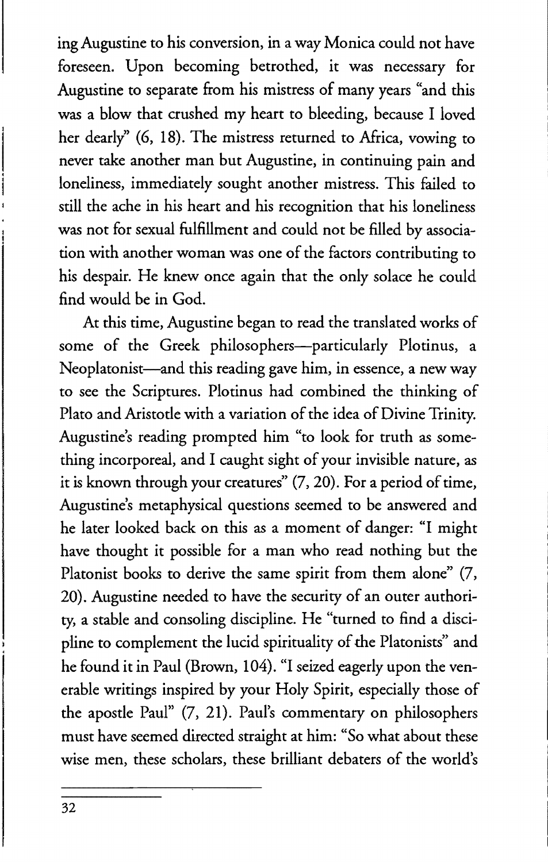ing Augustine to his conversion, in a way Monica could not have foreseen. Upon becoming betrothed, it was necessary for Augustine to separate from his mistress of many years "and this was a blow that crushed my heart to bleeding, because I loved her dearly" (6, 18). The mistress returned to Africa, vowing to never take another man but Augustine, in continuing pain and loneliness, immediately sought another mistress. This failed to still the ache in his heart and his recognition that his loneliness was not for sexual fulfillment and could not be filled by association with another woman was one of the factors contributing to his despair. He knew once again that the only solace he could find would be in God.

At this time, Augustine began to read the translated works of some of the Greek philosophers-particularly Plotinus, a Neoplatonist—and this reading gave him, in essence, a new way to see the Scriptures. Plotinus had combined the thinking of Plato and Aristotle with a variation of the idea of Divine Trinity. Augustine's reading prompted him "to look for truth as something incorporeal, and 1 caught sight of your invisible nature, as it is known through your creatures" (7,20). For a period of time, Augustine's metaphysical questions seemed to be answered and he later looked back on this as a moment of danger: "1 might have thought it possible for a man who read nothing but the Platonist books to derive the same spirit from them alone" (7, 20). Augustine needed to have the security of an outer authority, a stable and consoling discipline. He "turned to find a discipline to complement the lucid spirituality of the Platonists" and he found it in Paul (Brown, 104). "1 seized eagerly upon the venerable writings inspired by your Holy Spirit, especially those of the apostle Paul" (7, 21). Paul's commentary on philosophers must have seemed directed straight at him: "So what about these wise men, these scholars, these brilliant debaters of the world's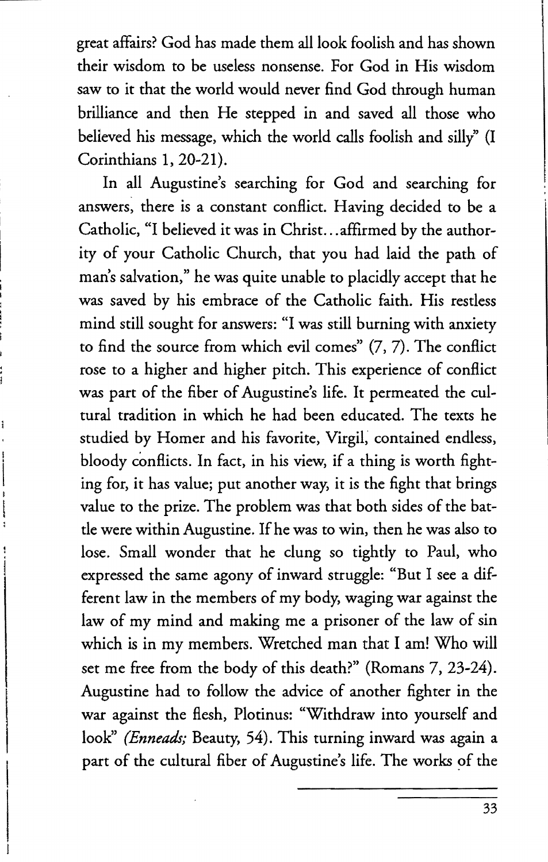great affairs? God has made them all look foolish and has shown their wisdom to be useless nonsense. For God in His wisdom saw to it that the world would never find God through human brilliance and then He stepped in and saved all those who believed his message, which the world calls foolish and silly" (I Corinthians 1, 20-21).

In all Augustine's searching for God and searching for answers, there is a constant conflict. Having decided to be a Catholic, "I believed it was in Christ ... affirmed by the authority of your Catholic Church, that you had laid the path of man's salvation," he was quite unable to placidly accept that he was saved by his embrace of the Catholic faith. His restless mind still sought for answers: "I was still burning with anxiety to find the source from which evil comes" (7, 7). The conflict rose to a higher and higher pitch. This experience of conflict was part of the fiber of Augustine's life. It permeated the cultural tradition in which he had been educated. The texts he studied by Homer and his favorite, Virgil; contained endless, bloody conflicts. In fact, in his view, if a thing is worth fighting for, it has value; put another way, it is the fight that brings value to the prize. The problem was that both sides of the battle were within Augustine. If he was to win, then he was also to lose. Small wonder that he clung so tightly to Paul, who expressed the same agony of inward struggle: "But I see a different law in the members of my body, waging war against the law of my mind and making me a prisoner of the law of sin which is in my members. Wretched man that I am! Who will set me free from the body of this death?" (Romans 7, 23-24). Augustine had to follow the advice of another fighter in the war against the flesh, Plotinus: "Withdraw into yourself and look" *(Enneads;* Beauty, 54). This turning inward was again a part of the cultural fiber of Augustine's life. The works of the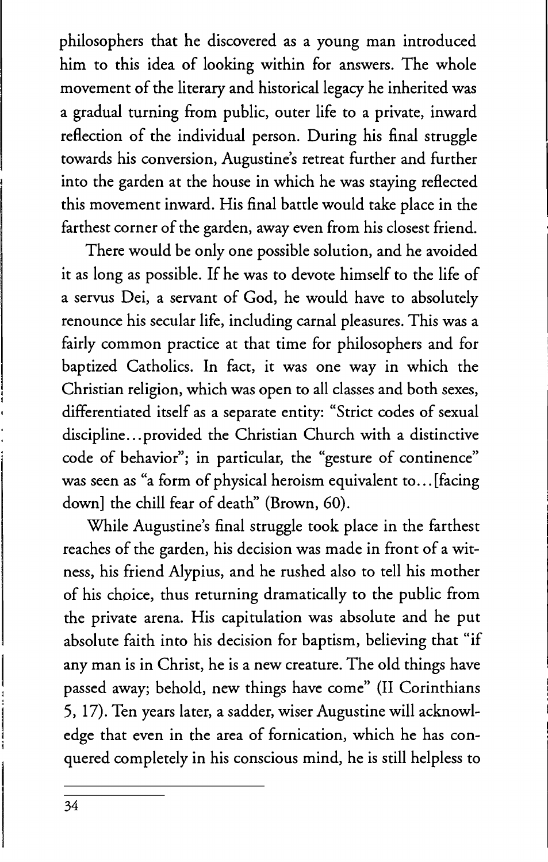philosophers that he discovered as a young man introduced him to this idea of looking within for answers. The whole movement of the literary and historical legacy he inherited was a gradual turning from public, outer life to a private, inward reflection of the individual person. During his final struggle towards his conversion, Augustine's retreat further and further into the garden at the house in which he was staying reflected this movement inward. His final battle would take place in the farthest corner of the garden, away even from his closest friend.

There would be only one possible solution, and he avoided it as long as possible. If he was to devote himself to the life of a servus Dei, a servant of God, he would have to absolutely renounce his secular life, including carnal pleasures. This was a fairly common practice at that time for philosophers and for baptized Catholics. In fact, it was one way in which the Christian religion, which was open to all classes and both sexes, differentiated itself as a separate entity: "Strict codes of sexual discipline...provided the Christian Church with a distinctive code of behavior"; in particular, the "gesture of continence" was seen as "a form of physical heroism equivalent to... [facing] down] the chill fear of death" (Brown, 60).

While Augustine's final struggle took place in the farthest reaches of the garden, his decision was made in front of a witness, his friend Alypius, and he rushed also to tell his mother of his choice, thus returning dramatically to the public from the private arena. His capitulation was absolute and he put absolute faith into his decision for baptism, believing that "if any man is in Christ, he is a new creature. The old things have passed away; behold, new things have come" (II Corinthians 5, 17). Ten years later, a sadder, wiser Augustine will acknowledge that even in the area of fornication, which he has conquered completely in his conscious mind, he is still helpless to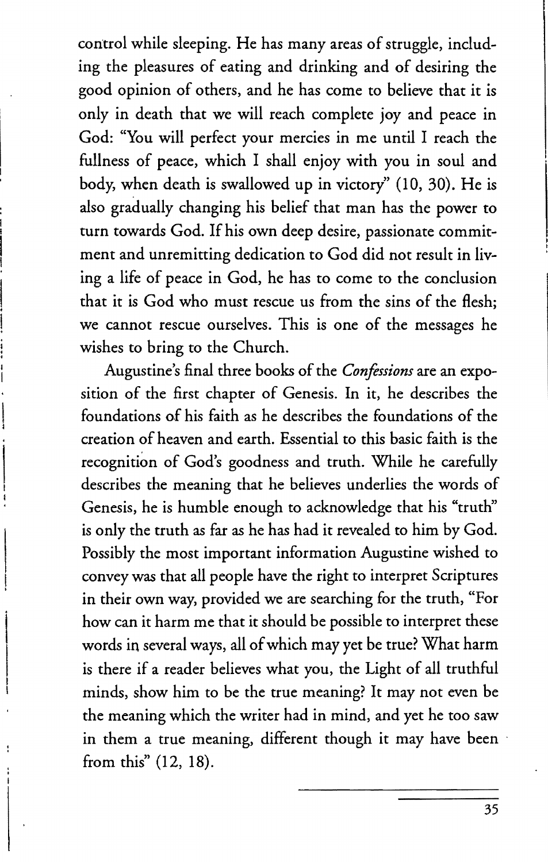control while sleeping. He has many areas of struggle, including the pleasures of eating and drinking and of desiring the good opinion of others, and he has come to believe that it is only in death that we will reach complete joy and peace in God: "You will perfect your mercies in me until I reach the fullness of peace, which I shall enjoy with you in soul and body, when death is swallowed up in victory" (10, 30). He is also gradually changing his belief that man has the power to turn towards God. If his own deep desire, passionate commitment and unremitting dedication to God did not result in living a life of peace in God, he has to come to the conclusion that it is God who must rescue us from the sins of the flesh; we cannot rescue ourselves. This is one of the messages he wishes to bring to the Church.

Augustine's final three books of the *Confessions* are an exposition of the first chapter of Genesis. In it, he describes the foundations of his faith as he describes the foundations of the creation of heaven and earth. Essential to this basic faith is the recognition of God's goodness and truth. While he carefully describes the meaning that he believes underlies the words of Genesis, he is humble enough to acknowledge that his "truth" is only the truth as far as he has had it revealed to him by God. Possibly the most important information Augustine wished to convey was that all people have the right to interpret Scriptures in their own way, provided we are searching for the truth, "For how can it harm me that it should be possible to interpret these words in several ways, all of which may yet be true? What harm is there if a reader believes what you, the Light of all truthful minds, show him to be the true meaning? It may not even be the meaning which the writer had in mind, and yet he too saw in them a true meaning, different though it may have been from this" (12, 18).